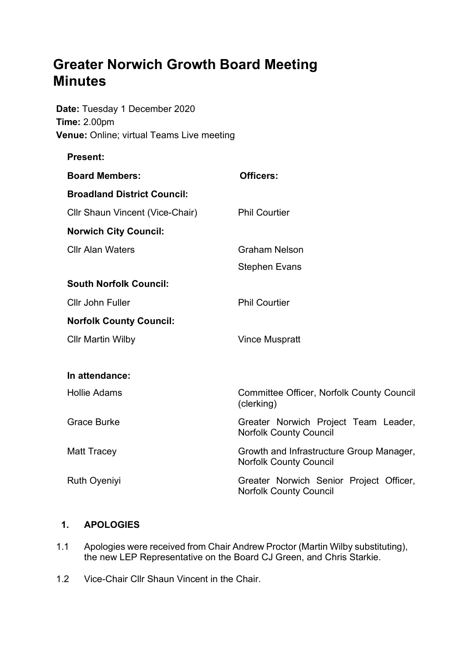# **Greater Norwich Growth Board Meeting Minutes**

**Date:** Tuesday 1 December 2020 **Time:** 2.00pm **Venue:** Online; virtual Teams Live meeting

| <b>Present:</b>                    |                                                                           |
|------------------------------------|---------------------------------------------------------------------------|
| <b>Board Members:</b>              | Officers:                                                                 |
| <b>Broadland District Council:</b> |                                                                           |
| Cllr Shaun Vincent (Vice-Chair)    | <b>Phil Courtier</b>                                                      |
| <b>Norwich City Council:</b>       |                                                                           |
| <b>Cllr Alan Waters</b>            | <b>Graham Nelson</b>                                                      |
|                                    | <b>Stephen Evans</b>                                                      |
| <b>South Norfolk Council:</b>      |                                                                           |
| <b>Cllr John Fuller</b>            | <b>Phil Courtier</b>                                                      |
| <b>Norfolk County Council:</b>     |                                                                           |
| <b>CIIr Martin Wilby</b>           | <b>Vince Muspratt</b>                                                     |
|                                    |                                                                           |
| In attendance:                     |                                                                           |
| <b>Hollie Adams</b>                | <b>Committee Officer, Norfolk County Council</b><br>(clerking)            |
| <b>Grace Burke</b>                 | Greater Norwich Project Team Leader,<br><b>Norfolk County Council</b>     |
| <b>Matt Tracey</b>                 | Growth and Infrastructure Group Manager,<br><b>Norfolk County Council</b> |
| <b>Ruth Oyeniyi</b>                | Greater Norwich Senior Project Officer,<br><b>Norfolk County Council</b>  |

# **1. APOLOGIES**

- 1.1 Apologies were received from Chair Andrew Proctor (Martin Wilby substituting), the new LEP Representative on the Board CJ Green, and Chris Starkie.
- 1.2 Vice-Chair Cllr Shaun Vincent in the Chair.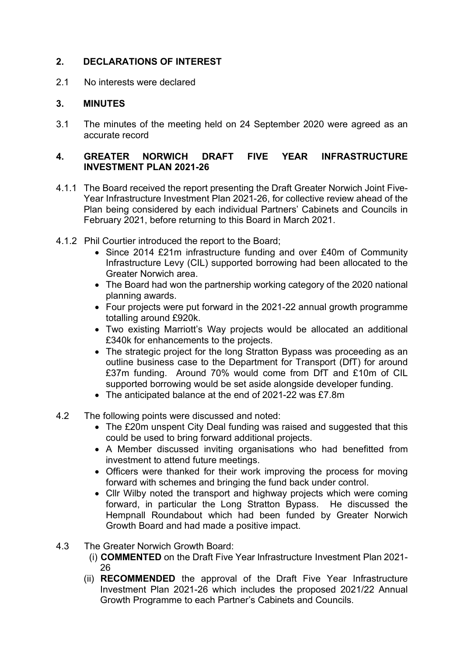# **2. DECLARATIONS OF INTEREST**

2.1 No interests were declared

## **3. MINUTES**

3.1 The minutes of the meeting held on 24 September 2020 were agreed as an accurate record

### **4. GREATER NORWICH DRAFT FIVE YEAR INFRASTRUCTURE INVESTMENT PLAN 2021-26**

- 4.1.1 The Board received the report presenting the Draft Greater Norwich Joint Five-Year Infrastructure Investment Plan 2021-26, for collective review ahead of the Plan being considered by each individual Partners' Cabinets and Councils in February 2021, before returning to this Board in March 2021.
- 4.1.2 Phil Courtier introduced the report to the Board;
	- Since 2014 £21m infrastructure funding and over £40m of Community Infrastructure Levy (CIL) supported borrowing had been allocated to the Greater Norwich area.
	- The Board had won the partnership working category of the 2020 national planning awards.
	- Four projects were put forward in the 2021-22 annual growth programme totalling around £920k.
	- Two existing Marriott's Way projects would be allocated an additional £340k for enhancements to the projects.
	- The strategic project for the long Stratton Bypass was proceeding as an outline business case to the Department for Transport (DfT) for around £37m funding. Around 70% would come from DfT and £10m of CIL supported borrowing would be set aside alongside developer funding.
	- The anticipated balance at the end of 2021-22 was £7.8m
- 4.2 The following points were discussed and noted:
	- The £20m unspent City Deal funding was raised and suggested that this could be used to bring forward additional projects.
	- A Member discussed inviting organisations who had benefitted from investment to attend future meetings.
	- Officers were thanked for their work improving the process for moving forward with schemes and bringing the fund back under control.
	- Cllr Wilby noted the transport and highway projects which were coming forward, in particular the Long Stratton Bypass. He discussed the Hempnall Roundabout which had been funded by Greater Norwich Growth Board and had made a positive impact.
- 4.3 The Greater Norwich Growth Board:
	- (i) **COMMENTED** on the Draft Five Year Infrastructure Investment Plan 2021- 26
	- (ii) **RECOMMENDED** the approval of the Draft Five Year Infrastructure Investment Plan 2021-26 which includes the proposed 2021/22 Annual Growth Programme to each Partner's Cabinets and Councils.